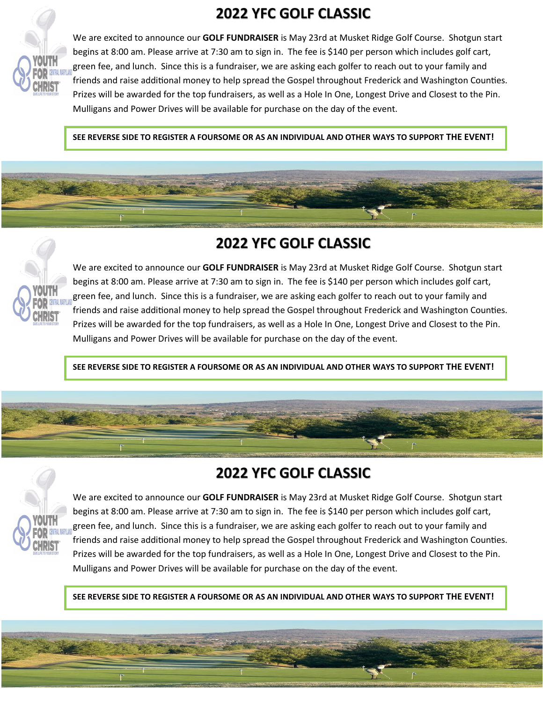# **2022 YFC GOLF CLASSIC**



We are excited to announce our **GOLF FUNDRAISER** is May 23rd at Musket Ridge Golf Course. Shotgun start begins at 8:00 am. Please arrive at 7:30 am to sign in. The fee is \$140 per person which includes golf cart, green fee, and lunch. Since this is a fundraiser, we are asking each golfer to reach out to your family and friends and raise additional money to help spread the Gospel throughout Frederick and Washington Counties. Prizes will be awarded for the top fundraisers, as well as a Hole In One, Longest Drive and Closest to the Pin. Mulligans and Power Drives will be available for purchase on the day of the event.

**SEE REVERSE SIDE TO REGISTER A FOURSOME OR AS AN INDIVIDUAL AND OTHER WAYS TO SUPPORT THE EVENT!**

## **2022 YFC GOLF CLASSIC**

Isaiah Martin



We are excited to announce our **GOLF FUNDRAISER** is May 23rd at Musket Ridge Golf Course. Shotgun start begins at 8:00 am. Please arrive at 7:30 am to sign in. The fee is \$140 per person which includes golf cart, green fee, and lunch. Since this is a fundraiser, we are asking each golfer to reach out to your family and friends and raise additional money to help spread the Gospel throughout Frederick and Washington Counties. Prizes will be awarded for the top fundraisers, as well as a Hole In One, Longest Drive and Closest to the Pin. Mulligans and Power Drives will be available for purchase on the day of the event.

**SEE REVERSE SIDE TO REGISTER A FOURSOME OR AS AN INDIVIDUAL AND OTHER WAYS TO SUPPORT THE EVENT!**

# **2022 YFC GOLF CLASSIC**

Isaiah Martin



We are excited to announce our **GOLF FUNDRAISER** is May 23rd at Musket Ridge Golf Course. Shotgun start begins at 8:00 am. Please arrive at 7:30 am to sign in. The fee is \$140 per person which includes golf cart, green fee, and lunch. Since this is a fundraiser, we are asking each golfer to reach out to your family and friends and raise additional money to help spread the Gospel throughout Frederick and Washington Counties. Prizes will be awarded for the top fundraisers, as well as a Hole In One, Longest Drive and Closest to the Pin. Mulligans and Power Drives will be available for purchase on the day of the event.

**SEE REVERSE SIDE TO REGISTER A FOURSOME OR AS AN INDIVIDUAL AND OTHER WAYS TO SUPPORT THE EVENT!**

Isaiah Martin